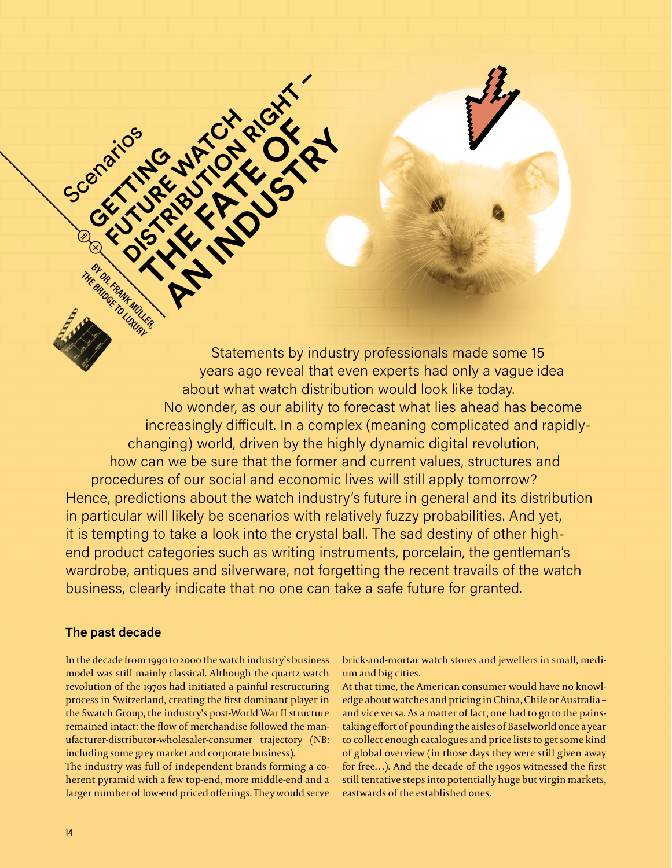**THE BRIDGE TO LUXURY** Statements by industry professionals made some 15 years ago reveal that even experts had only a vaque idea about what watch distribution would look like today. No wonder, as our ability to forecast what lies ahead has become increasingly difficult. In a complex (meaning complicated and rapidlychanging) world, driven by the highly dynamic digital revolution, how can we be sure that the former and current values, structures and procedures of our social and economic lives will still apply tomorrow? Hence, predictions about the watch industry's future in general and its distribution in particular will likely be scenarios with relatively fuzzy probabilities. And yet, it is tempting to take a look into the crystal ball. The sad destiny of other highend product categories such as writing instruments, porcelain, the gentleman's wardrobe, antiques and silverware, not forgetting the recent travails of the watch business, clearly indicate that no one can take a safe future for granted.

### The past decade

BY DR. FRAMMÜLLER

In the decade from 1990 to 2000 the watch industry's business model was still mainly classical. Although the quartz watch revolution of the 1970s had initiated a painful restructuring process in Switzerland, creating the first dominant player in the Swatch Group, the industry's post-World War II structure remained intact: the flow of merchandise followed the manufacturer-distributor-wholesaler-consumer trajectory (NB: including some grey market and corporate business).

WATCHRIGHT

The industry was full of independent brands forming a coherent pyramid with a few top-end, more middle-end and a larger number of low-end priced offerings. They would serve brick-and-mortar watch stores and jewellers in small, medium and big cities.

At that time, the American consumer would have no knowledge about watches and pricing in China, Chile or Australia and vice versa. As a matter of fact, one had to go to the painstaking effort of pounding the aisles of Baselworld once a year to collect enough catalogues and price lists to get some kind of global overview (in those days they were still given away for free...). And the decade of the 1990s witnessed the first still tentative steps into potentially huge but virgin markets, eastwards of the established ones.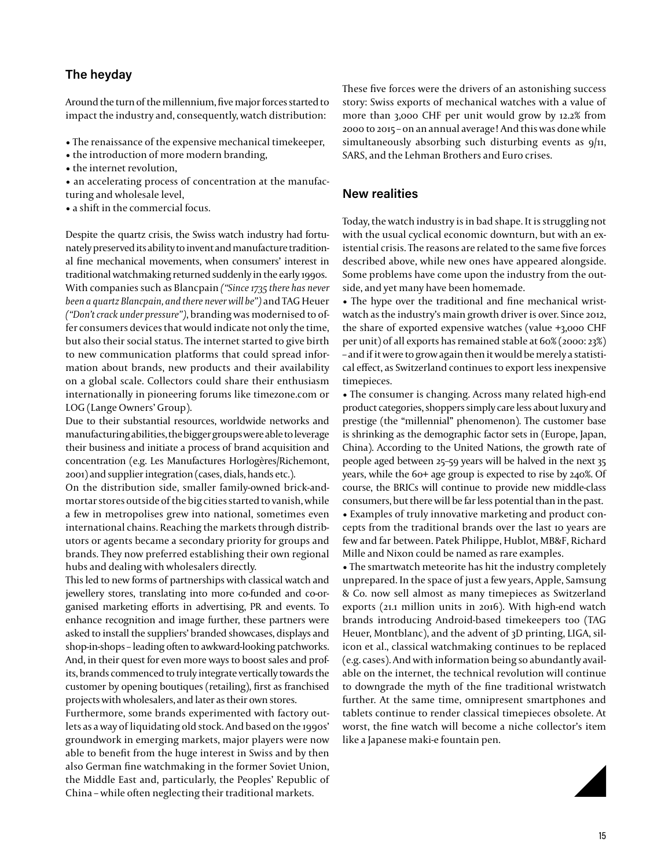### **The heyday**

Around the turn of the millennium, five major forces started to impact the industry and, consequently, watch distribution:

- The renaissance of the expensive mechanical timekeeper,
- the introduction of more modern branding,
- the internet revolution,
- an accelerating process of concentration at the manufacturing and wholesale level,

• a shift in the commercial focus.

Despite the quartz crisis, the Swiss watch industry had fortunately preserved its ability to invent and manufacture traditional fine mechanical movements, when consumers' interest in traditional watchmaking returned suddenly in the early 1990s. With companies such as Blancpain *("Since 1735 there has never been a quartz Blancpain, and there never will be")* and TAG Heuer *("Don't crack under pressure")*, branding was modernised to offer consumers devices that would indicate not only the time, but also their social status. The internet started to give birth to new communication platforms that could spread information about brands, new products and their availability on a global scale. Collectors could share their enthusiasm internationally in pioneering forums like timezone.com or LOG (Lange Owners' Group).

Due to their substantial resources, worldwide networks and manufacturing abilities, the bigger groups were able to leverage their business and initiate a process of brand acquisition and concentration (e.g. Les Manufactures Horlogères/Richemont, 2001) and supplier integration (cases, dials, hands etc.).

On the distribution side, smaller family-owned brick-andmortar stores outside of the big cities started to vanish, while a few in metropolises grew into national, sometimes even international chains. Reaching the markets through distributors or agents became a secondary priority for groups and brands. They now preferred establishing their own regional hubs and dealing with wholesalers directly.

This led to new forms of partnerships with classical watch and jewellery stores, translating into more co-funded and co-organised marketing efforts in advertising, PR and events. To enhance recognition and image further, these partners were asked to install the suppliers' branded showcases, displays and shop-in-shops – leading often to awkward-looking patchworks. And, in their quest for even more ways to boost sales and profits, brands commenced to truly integrate vertically towards the customer by opening boutiques (retailing), first as franchised projects with wholesalers, and later as their own stores.

Furthermore, some brands experimented with factory outlets as a way of liquidating old stock. And based on the 1990s' groundwork in emerging markets, major players were now able to benefit from the huge interest in Swiss and by then also German fine watchmaking in the former Soviet Union, the Middle East and, particularly, the Peoples' Republic of China – while often neglecting their traditional markets.

These five forces were the drivers of an astonishing success story: Swiss exports of mechanical watches with a value of more than 3,000 CHF per unit would grow by 12.2% from 2000 to 2015 – on an annual average! And this was done while simultaneously absorbing such disturbing events as  $q/n$ , SARS, and the Lehman Brothers and Euro crises.

#### **New realities**

Today, the watch industry is in bad shape. It is struggling not with the usual cyclical economic downturn, but with an existential crisis. The reasons are related to the same five forces described above, while new ones have appeared alongside. Some problems have come upon the industry from the outside, and yet many have been homemade.

• The hype over the traditional and fine mechanical wristwatch as the industry's main growth driver is over. Since 2012, the share of exported expensive watches (value +3,000 CHF per unit) of all exports has remained stable at 60% (2000: 23%) – and if it were to grow again then it would be merely a statistical effect, as Switzerland continues to export less inexpensive timepieces.

• The consumer is changing. Across many related high-end product categories, shoppers simply care less about luxury and prestige (the "millennial" phenomenon). The customer base is shrinking as the demographic factor sets in (Europe, Japan, China). According to the United Nations, the growth rate of people aged between 25–59 years will be halved in the next 35 years, while the 60+ age group is expected to rise by 240%. Of course, the BRICs will continue to provide new middle-class consumers, but there will be far less potential than in the past.

• Examples of truly innovative marketing and product concepts from the traditional brands over the last 10 years are few and far between. Patek Philippe, Hublot, MB&F, Richard Mille and Nixon could be named as rare examples.

• The smartwatch meteorite has hit the industry completely unprepared. In the space of just a few years, Apple, Samsung & Co. now sell almost as many timepieces as Switzerland exports (21.1 million units in 2016). With high-end watch brands introducing Android-based timekeepers too (TAG Heuer, Montblanc), and the advent of 3D printing, LIGA, silicon et al., classical watchmaking continues to be replaced (e.g. cases). And with information being so abundantly available on the internet, the technical revolution will continue to downgrade the myth of the fine traditional wristwatch further. At the same time, omnipresent smartphones and tablets continue to render classical timepieces obsolete. At worst, the fine watch will become a niche collector's item like a Japanese maki-e fountain pen.

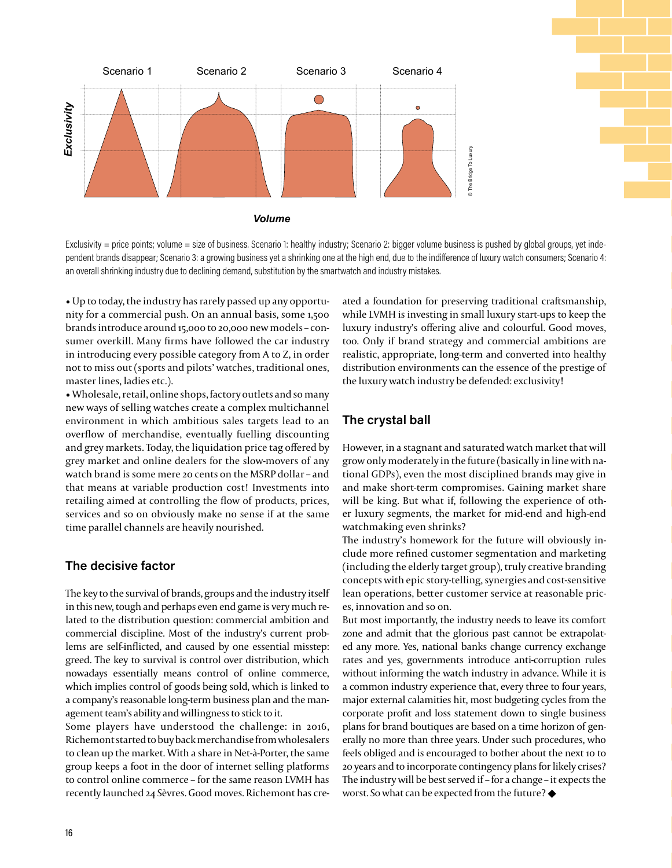

Exclusivity = price points; volume = size of business. Scenario 1: healthy industry; Scenario 2: bigger volume business is pushed by global groups, yet independent brands disappear; Scenario 3: a growing business yet a shrinking one at the high end, due to the indiference of luxury watch consumers; Scenario 4: an overall shrinking industry due to declining demand, substitution by the smartwatch and industry mistakes.

• Up to today, the industry has rarely passed up any opportunity for a commercial push. On an annual basis, some 1,500 brands introduce around 15,000 to 20,000 new models – consumer overkill. Many firms have followed the car industry in introducing every possible category from A to Z, in order not to miss out (sports and pilots' watches, traditional ones, master lines, ladies etc.).

• Wholesale, retail, online shops, factory outlets and so many new ways of selling watches create a complex multichannel environment in which ambitious sales targets lead to an overflow of merchandise, eventually fuelling discounting and grey markets. Today, the liquidation price tag offered by grey market and online dealers for the slow-movers of any watch brand is some mere 20 cents on the MSRP dollar – and that means at variable production cost! Investments into retailing aimed at controlling the flow of products, prices, services and so on obviously make no sense if at the same time parallel channels are heavily nourished. 1674/1671/2017/2020<br>1672/1672/2020<br>16 Expease of District of District of District of District of District of District of District of District of Di

#### **The decisive factor**

The key to the survival of brands, groups and the industry itself in this new, tough and perhaps even end game is very much related to the distribution question: commercial ambition and commercial discipline. Most of the industry's current problems are self-inflicted, and caused by one essential misstep: greed. The key to survival is control over distribution, which nowadays essentially means control of online commerce, which implies control of goods being sold, which is linked to a company's reasonable long-term business plan and the management team's ability and willingness to stick to it.

Some players have understood the challenge: in 2016, Richemont started to buy back merchandise from wholesalers to clean up the market. With a share in Net-à-Porter, the same group keeps a foot in the door of internet selling platforms to control online commerce – for the same reason LVMH has recently launched 24 Sèvres. Good moves. Richemont has created a foundation for preserving traditional craftsmanship, while LVMH is investing in small luxury start-ups to keep the luxury industry's offering alive and colourful. Good moves, too. Only if brand strategy and commercial ambitions are realistic, appropriate, long-term and converted into healthy distribution environments can the essence of the prestige of the luxury watch industry be defended: exclusivity!

# **The crystal ball**

However, in a stagnant and saturated watch market that will grow only moderately in the future (basically in line with national GDPs), even the most disciplined brands may give in and make short-term compromises. Gaining market share will be king. But what if, following the experience of other luxury segments, the market for mid-end and high-end watchmaking even shrinks?

The industry's homework for the future will obviously include more refined customer segmentation and marketing (including the elderly target group), truly creative branding concepts with epic story-telling, synergies and cost-sensitive lean operations, better customer service at reasonable prices, innovation and so on.

But most importantly, the industry needs to leave its comfort zone and admit that the glorious past cannot be extrapolated any more. Yes, national banks change currency exchange rates and yes, governments introduce anti-corruption rules without informing the watch industry in advance. While it is a common industry experience that, every three to four years, major external calamities hit, most budgeting cycles from the corporate profit and loss statement down to single business plans for brand boutiques are based on a time horizon of generally no more than three years. Under such procedures, who feels obliged and is encouraged to bother about the next 10 to 20 years and to incorporate contingency plans for likely crises? The industry will be best served if – for a change – it expects the worst. So what can be expected from the future?